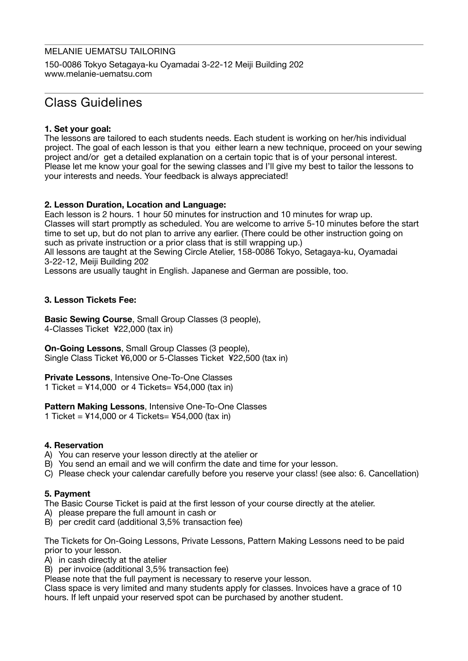# MELANIE UEMATSU TAILORING

150-0086 Tokyo Setagaya-ku Oyamadai 3-22-12 Meiji Building 202 www[.melanie-uematsu.com](http://melanie-uematsu.com)

# Class Guidelines

# **1. Set your goal:**

The lessons are tailored to each students needs. Each student is working on her/his individual project. The goal of each lesson is that you either learn a new technique, proceed on your sewing project and/or get a detailed explanation on a certain topic that is of your personal interest. Please let me know your goal for the sewing classes and I'll give my best to tailor the lessons to your interests and needs. Your feedback is always appreciated!

# **2. Lesson Duration, Location and Language:**

Each lesson is 2 hours. 1 hour 50 minutes for instruction and 10 minutes for wrap up. Classes will start promptly as scheduled. You are welcome to arrive 5-10 minutes before the start time to set up, but do not plan to arrive any earlier. (There could be other instruction going on such as private instruction or a prior class that is still wrapping up.)

All lessons are taught at the Sewing Circle Atelier, 158-0086 Tokyo, Setagaya-ku, Oyamadai 3-22-12, Meiji Building 202

Lessons are usually taught in English. Japanese and German are possible, too.

# **3. Lesson Tickets Fee:**

**Basic Sewing Course**, Small Group Classes (3 people), 4-Classes Ticket ¥22,000 (tax in)

**On-Going Lessons**, Small Group Classes (3 people), Single Class Ticket ¥6,000 or 5-Classes Ticket ¥22,500 (tax in)

**Private Lessons**, Intensive One-To-One Classes 1 Ticket = ¥14,000 or 4 Tickets= ¥54,000 (tax in)

# **Pattern Making Lessons**, Intensive One-To-One Classes

1 Ticket =  $414,000$  or 4 Tickets=  $454,000$  (tax in)

# **4. Reservation**

- A) You can reserve your lesson directly at the atelier or
- B) You send an email and we will confirm the date and time for your lesson.
- C) Please check your calendar carefully before you reserve your class! (see also: 6. Cancellation)

# **5. Payment**

The Basic Course Ticket is paid at the first lesson of your course directly at the atelier.

- A) please prepare the full amount in cash or
- B) per credit card (additional 3,5% transaction fee)

The Tickets for On-Going Lessons, Private Lessons, Pattern Making Lessons need to be paid prior to your lesson.

A) in cash directly at the atelier

B) per invoice (additional 3,5% transaction fee)

Please note that the full payment is necessary to reserve your lesson.

Class space is very limited and many students apply for classes. Invoices have a grace of 10 hours. If left unpaid your reserved spot can be purchased by another student.